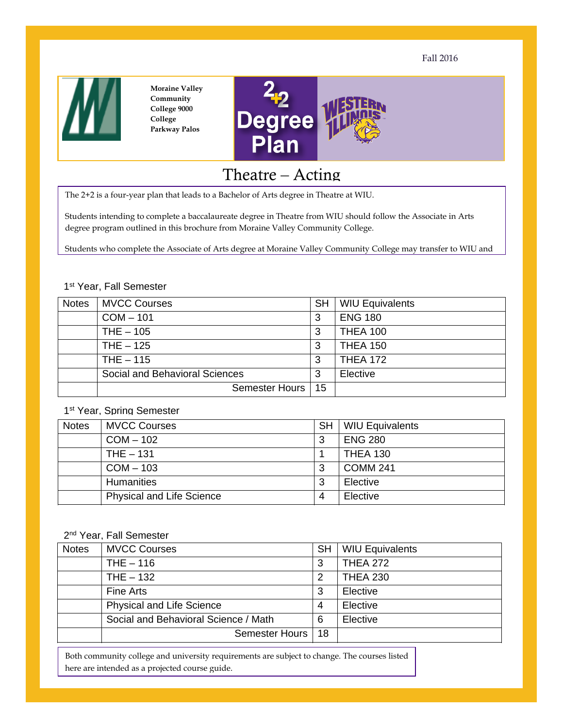Fall 2016



**Moraine Valley Community College 9000 College Parkway Palos** 



# Theatre – Acting

The 2+2 is a four-year plan that leads to a Bachelor of Arts degree in Theatre at WIU.

Students intending to complete a baccalaureate degree in Theatre from WIU should follow the Associate in Arts degree program outlined in this brochure from Moraine Valley Community College.

Students who complete the Associate of Arts degree at Moraine Valley Community College may transfer to WIU and

#### 1st Year, Fall Semester

| <b>Notes</b> | <b>MVCC Courses</b>            | <b>SH</b> | <b>WIU Equivalents</b> |
|--------------|--------------------------------|-----------|------------------------|
|              | $COM - 101$                    | 3         | <b>ENG 180</b>         |
|              | $THE - 105$                    | 3         | <b>THEA 100</b>        |
|              | THE $-125$                     | 3         | <b>THEA 150</b>        |
|              | THE $-115$                     | 3         | <b>THEA 172</b>        |
|              | Social and Behavioral Sciences | 3         | Elective               |
|              | <b>Semester Hours</b>          | 15        |                        |

# 1st Year, Spring Semester

| <b>Notes</b> | <b>MVCC Courses</b>              | <b>SH</b> | <b>WIU Equivalents</b> |
|--------------|----------------------------------|-----------|------------------------|
|              | $COM - 102$                      | 3         | <b>ENG 280</b>         |
|              | $THE - 131$                      |           | <b>THEA 130</b>        |
|              | $COM - 103$                      | 3         | <b>COMM 241</b>        |
|              | <b>Humanities</b>                | 3         | Elective               |
|              | <b>Physical and Life Science</b> | 4         | Elective               |

### 2<sup>nd</sup> Year, Fall Semester

| <b>Notes</b> | <b>MVCC Courses</b>                  | <b>SH</b> | <b>WIU Equivalents</b> |
|--------------|--------------------------------------|-----------|------------------------|
|              | $THE - 116$                          | 3         | <b>THEA 272</b>        |
|              | $THE - 132$                          | 2         | <b>THEA 230</b>        |
|              | Fine Arts                            | 3         | Elective               |
|              | <b>Physical and Life Science</b>     | 4         | Elective               |
|              | Social and Behavioral Science / Math | 6         | Elective               |
|              | Semester Hours   18                  |           |                        |
|              |                                      |           |                        |

Both community college and university requirements are subject to change. The courses listed here are intended as a projected course guide.